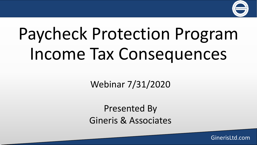

# Paycheck Protection Program Income Tax Consequences

Webinar 7/31/2020

Presented By Gineris & Associates

GinerisLtd.com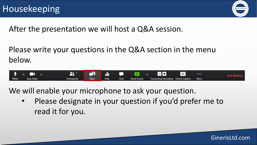

GinerisLtd.com

After the presentation we will host a Q&A session.

Please write your questions in the Q&A section in the menu below.



We will enable your microphone to ask your question.

• Please designate in your question if you'd prefer me to read it for you.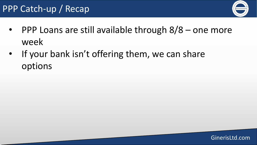## PPP Catch-up / Recap



- PPP Loans are still available through  $8/8$  one more week
- If your bank isn't offering them, we can share options

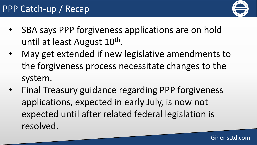

- SBA says PPP forgiveness applications are on hold until at least August 10<sup>th</sup>.
- May get extended if new legislative amendments to the forgiveness process necessitate changes to the system.
- Final Treasury guidance regarding PPP forgiveness applications, expected in early July, is now not expected until after related federal legislation is resolved.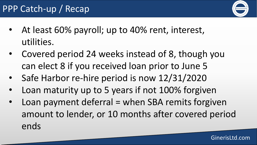

- At least 60% payroll; up to 40% rent, interest, utilities.
- Covered period 24 weeks instead of 8, though you can elect 8 if you received loan prior to June 5
- Safe Harbor re-hire period is now 12/31/2020
- Loan maturity up to 5 years if not 100% forgiven
- Loan payment deferral = when SBA remits forgiven amount to lender, or 10 months after covered period ends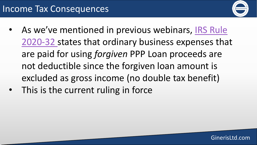

- As we've mentioned in previous webinars, IRS Rule [2020-32 states that ordinary business expenses tha](https://www.irs.gov/pub/irs-drop/n-20-32.pdf)t are paid for using *forgiven* PPP Loan proceeds are not deductible since the forgiven loan amount is excluded as gross income (no double tax benefit)
- This is the current ruling in force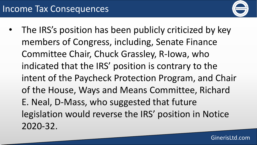

The IRS's position has been publicly criticized by key members of Congress, including, Senate Finance Committee Chair, Chuck Grassley, R-Iowa, who indicated that the IRS' position is contrary to the intent of the Paycheck Protection Program, and Chair of the House, Ways and Means Committee, Richard E. Neal, D-Mass, who suggested that future legislation would reverse the IRS' position in Notice 2020-32.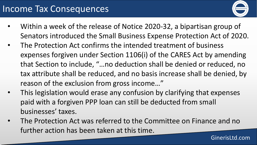### Income Tax Consequences



- Within a week of the release of Notice 2020-32, a bipartisan group of Senators introduced the Small Business Expense Protection Act of 2020.
- The Protection Act confirms the intended treatment of business expenses forgiven under Section 1106(i) of the CARES Act by amending that Section to include, "…no deduction shall be denied or reduced, no tax attribute shall be reduced, and no basis increase shall be denied, by reason of the exclusion from gross income…"
- This legislation would erase any confusion by clarifying that expenses paid with a forgiven PPP loan can still be deducted from small businesses' taxes.
- The Protection Act was referred to the Committee on Finance and no further action has been taken at this time.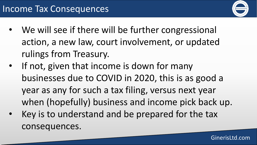

- We will see if there will be further congressional action, a new law, court involvement, or updated rulings from Treasury.
- If not, given that income is down for many businesses due to COVID in 2020, this is as good a year as any for such a tax filing, versus next year when (hopefully) business and income pick back up.
- Key is to understand and be prepared for the tax consequences.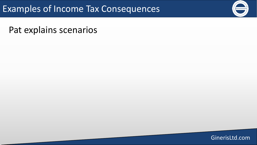### Examples of Income Tax Consequences

Pat explains scenarios

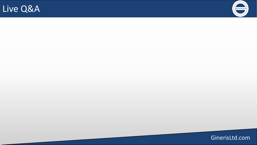## Live Q&A